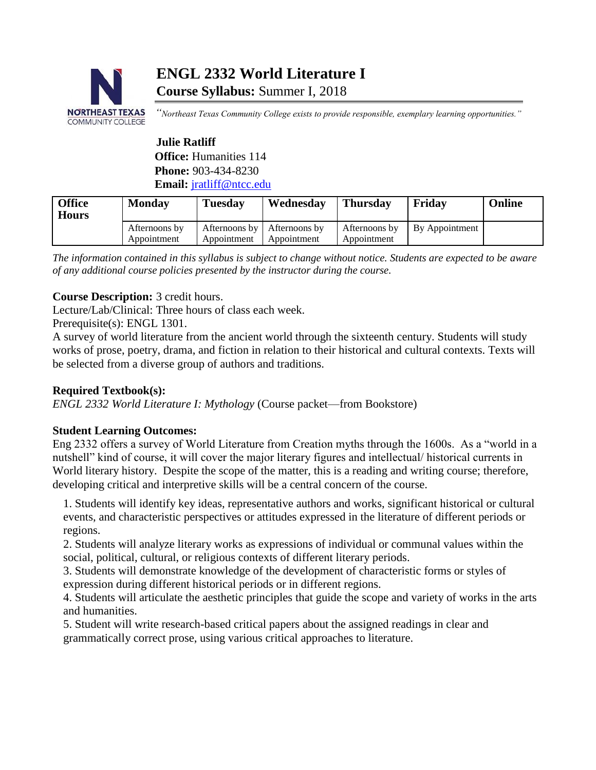

# **ENGL 2332 World Literature I Course Syllabus:** Summer I, 2018

*"Northeast Texas Community College exists to provide responsible, exemplary learning opportunities."*

# **Julie Ratliff Office:** Humanities 114 **Phone:** 903-434-8230 **Email:** [jratliff@ntcc.edu](mailto:jratliff@ntcc.edu)

| <b>Office</b><br><b>Hours</b> | <b>Monday</b>                | <b>Tuesday</b>               | Wednesday                    | <b>Thursday</b>              | Fridav         | <b>Online</b> |
|-------------------------------|------------------------------|------------------------------|------------------------------|------------------------------|----------------|---------------|
|                               | Afternoons by<br>Appointment | Afternoons by<br>Appointment | Afternoons by<br>Appointment | Afternoons by<br>Appointment | By Appointment |               |

*The information contained in this syllabus is subject to change without notice. Students are expected to be aware of any additional course policies presented by the instructor during the course.*

# **Course Description:** 3 credit hours.

Lecture/Lab/Clinical: Three hours of class each week.

Prerequisite(s): ENGL 1301.

A survey of world literature from the ancient world through the sixteenth century. Students will study works of prose, poetry, drama, and fiction in relation to their historical and cultural contexts. Texts will be selected from a diverse group of authors and traditions.

## **Required Textbook(s):**

*ENGL 2332 World Literature I: Mythology* (Course packet—from Bookstore)

### **Student Learning Outcomes:**

Eng 2332 offers a survey of World Literature from Creation myths through the 1600s. As a "world in a nutshell" kind of course, it will cover the major literary figures and intellectual/ historical currents in World literary history. Despite the scope of the matter, this is a reading and writing course; therefore, developing critical and interpretive skills will be a central concern of the course.

1. Students will identify key ideas, representative authors and works, significant historical or cultural events, and characteristic perspectives or attitudes expressed in the literature of different periods or regions.

2. Students will analyze literary works as expressions of individual or communal values within the social, political, cultural, or religious contexts of different literary periods.

3. Students will demonstrate knowledge of the development of characteristic forms or styles of expression during different historical periods or in different regions.

4. Students will articulate the aesthetic principles that guide the scope and variety of works in the arts and humanities.

5. Student will write research-based critical papers about the assigned readings in clear and grammatically correct prose, using various critical approaches to literature.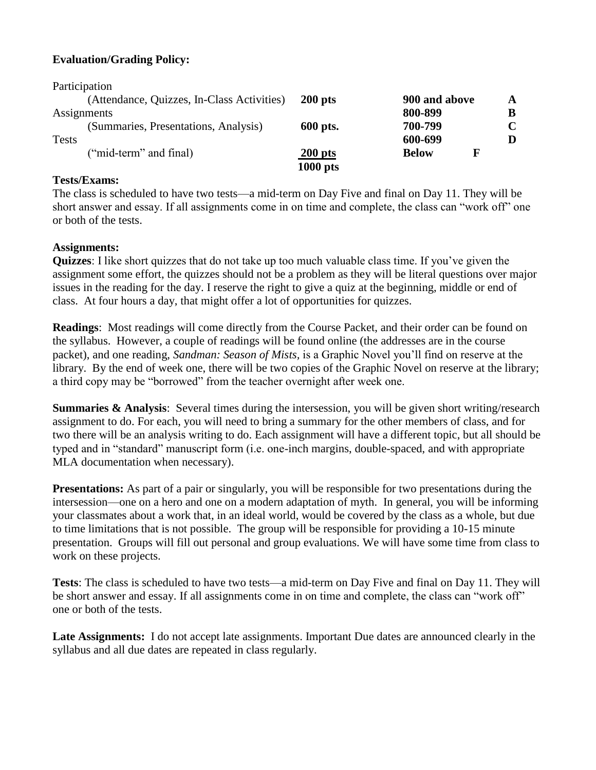## **Evaluation/Grading Policy:**

| Participation                              |            |                   |             |
|--------------------------------------------|------------|-------------------|-------------|
| (Attendance, Quizzes, In-Class Activities) | $200$ pts  | 900 and above     | A           |
| Assignments                                |            | 800-899           | B           |
| (Summaries, Presentations, Analysis)       | 600 pts.   | 700-799           | $\mathbf C$ |
| <b>Tests</b>                               |            | 600-699           |             |
| ("mid-term" and final)                     | $200$ pts  | F<br><b>Below</b> |             |
|                                            | $1000$ pts |                   |             |

#### **Tests/Exams:**

The class is scheduled to have two tests—a mid-term on Day Five and final on Day 11. They will be short answer and essay. If all assignments come in on time and complete, the class can "work off" one or both of the tests.

### **Assignments:**

**Quizzes**: I like short quizzes that do not take up too much valuable class time. If you've given the assignment some effort, the quizzes should not be a problem as they will be literal questions over major issues in the reading for the day. I reserve the right to give a quiz at the beginning, middle or end of class. At four hours a day, that might offer a lot of opportunities for quizzes.

**Readings**: Most readings will come directly from the Course Packet, and their order can be found on the syllabus. However, a couple of readings will be found online (the addresses are in the course packet), and one reading, *Sandman: Season of Mists,* is a Graphic Novel you'll find on reserve at the library. By the end of week one, there will be two copies of the Graphic Novel on reserve at the library; a third copy may be "borrowed" from the teacher overnight after week one.

**Summaries & Analysis:** Several times during the intersession, you will be given short writing/research assignment to do. For each, you will need to bring a summary for the other members of class, and for two there will be an analysis writing to do. Each assignment will have a different topic, but all should be typed and in "standard" manuscript form (i.e. one-inch margins, double-spaced, and with appropriate MLA documentation when necessary).

**Presentations:** As part of a pair or singularly, you will be responsible for two presentations during the intersession—one on a hero and one on a modern adaptation of myth. In general, you will be informing your classmates about a work that, in an ideal world, would be covered by the class as a whole, but due to time limitations that is not possible. The group will be responsible for providing a 10-15 minute presentation. Groups will fill out personal and group evaluations. We will have some time from class to work on these projects.

**Tests**: The class is scheduled to have two tests—a mid-term on Day Five and final on Day 11. They will be short answer and essay. If all assignments come in on time and complete, the class can "work off" one or both of the tests.

**Late Assignments:** I do not accept late assignments. Important Due dates are announced clearly in the syllabus and all due dates are repeated in class regularly.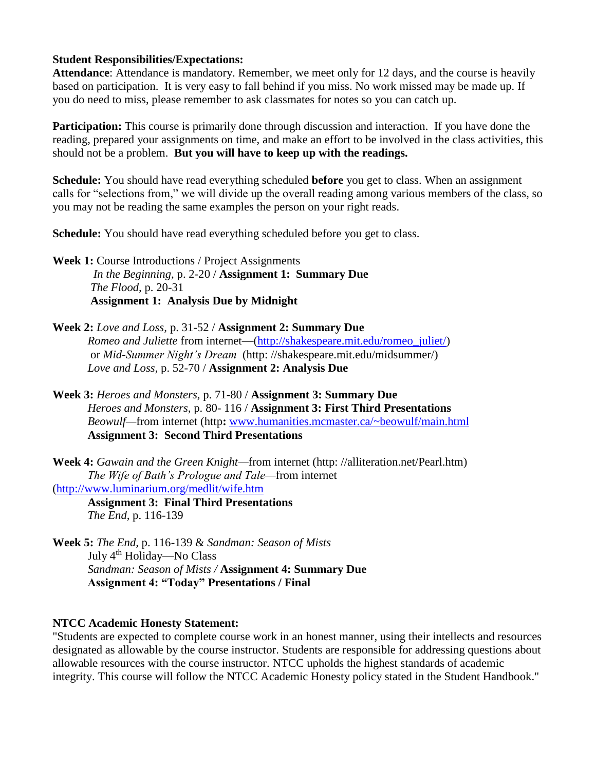#### **Student Responsibilities/Expectations:**

**Attendance**: Attendance is mandatory. Remember, we meet only for 12 days, and the course is heavily based on participation. It is very easy to fall behind if you miss. No work missed may be made up. If you do need to miss, please remember to ask classmates for notes so you can catch up.

**Participation:** This course is primarily done through discussion and interaction. If you have done the reading, prepared your assignments on time, and make an effort to be involved in the class activities, this should not be a problem. **But you will have to keep up with the readings.**

**Schedule:** You should have read everything scheduled **before** you get to class. When an assignment calls for "selections from," we will divide up the overall reading among various members of the class, so you may not be reading the same examples the person on your right reads.

**Schedule:** You should have read everything scheduled before you get to class.

Week 1: Course Introductions / Project Assignments  *In the Beginning,* p. 2-20 / **Assignment 1: Summary Due** *The Flood,* p. 20-31 **Assignment 1: Analysis Due by Midnight**

**Week 2:** *Love and Loss,* p. 31-52 / **Assignment 2: Summary Due** *Romeo and Juliette* from internet—[\(http://shakespeare.mit.edu/romeo\\_juliet/\)](http://shakespeare.mit.edu/romeo_juliet/) or *Mid-Summer Night's Dream* (http: //shakespeare.mit.edu/midsummer/) *Love and Loss,* p. 52-70 / **Assignment 2: Analysis Due** 

**Week 3:** *Heroes and Monsters,* p. 71-80 / **Assignment 3: Summary Due** *Heroes and Monsters,* p. 80- 116 / **Assignment 3: First Third Presentations** *Beowulf—*from internet (http**:** [www.humanities.mcmaster.ca/~beowulf/main.html](http://www.humanities.mcmaster.ca/~beowulf/main.html) **Assignment 3: Second Third Presentations**

**Week 4:** *Gawain and the Green Knight—*from internet (http: //alliteration.net/Pearl.htm) *The Wife of Bath's Prologue and Tale—*from internet [\(http://www.luminarium.org/medlit/wife.htm](http://www.luminarium.org/medlit/wife.htm)

**Assignment 3: Final Third Presentations** *The End,* p. 116-139

**Week 5:** *The End,* p. 116-139 & *Sandman: Season of Mists* July 4th Holiday—No Class *Sandman: Season of Mists /* **Assignment 4: Summary Due Assignment 4: "Today" Presentations / Final**

### **NTCC Academic Honesty Statement:**

"Students are expected to complete course work in an honest manner, using their intellects and resources designated as allowable by the course instructor. Students are responsible for addressing questions about allowable resources with the course instructor. NTCC upholds the highest standards of academic integrity. This course will follow the NTCC Academic Honesty policy stated in the Student Handbook."